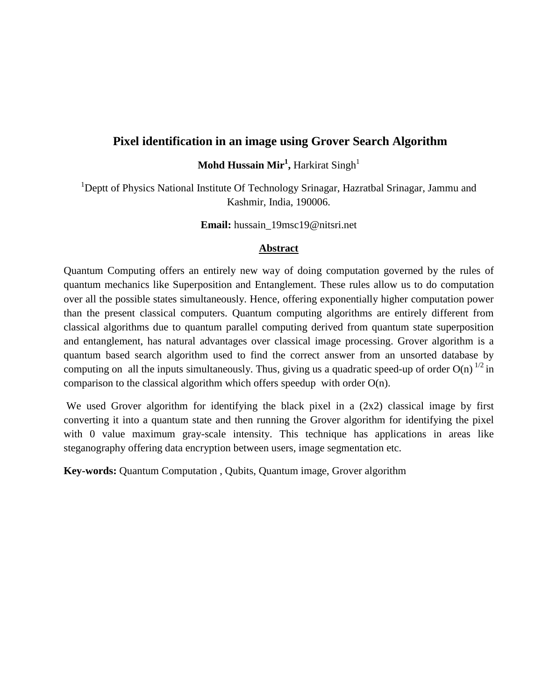# **Pixel identification in an image using Grover Search Algorithm**

**Mohd Hussain Mir<sup>1</sup> ,** Harkirat Singh<sup>1</sup>

<sup>1</sup>Deptt of Physics National Institute Of Technology Srinagar, Hazratbal Srinagar, Jammu and Kashmir, India, 190006.

**Email:** hussain\_19msc19@nitsri.net

#### **Abstract**

Quantum Computing offers an entirely new way of doing computation governed by the rules of quantum mechanics like Superposition and Entanglement. These rules allow us to do computation over all the possible states simultaneously. Hence, offering exponentially higher computation power than the present classical computers. Quantum computing algorithms are entirely different from classical algorithms due to quantum parallel computing derived from quantum state superposition and entanglement, has natural advantages over classical image processing. Grover algorithm is a quantum based search algorithm used to find the correct answer from an unsorted database by computing on all the inputs simultaneously. Thus, giving us a quadratic speed-up of order  $O(n)^{1/2}$  in comparison to the classical algorithm which offers speedup with order O(n).

We used Grover algorithm for identifying the black pixel in a  $(2x2)$  classical image by first converting it into a quantum state and then running the Grover algorithm for identifying the pixel with 0 value maximum gray-scale intensity. This technique has applications in areas like steganography offering data encryption between users, image segmentation etc.

**Key-words:** Quantum Computation , Qubits, Quantum image, Grover algorithm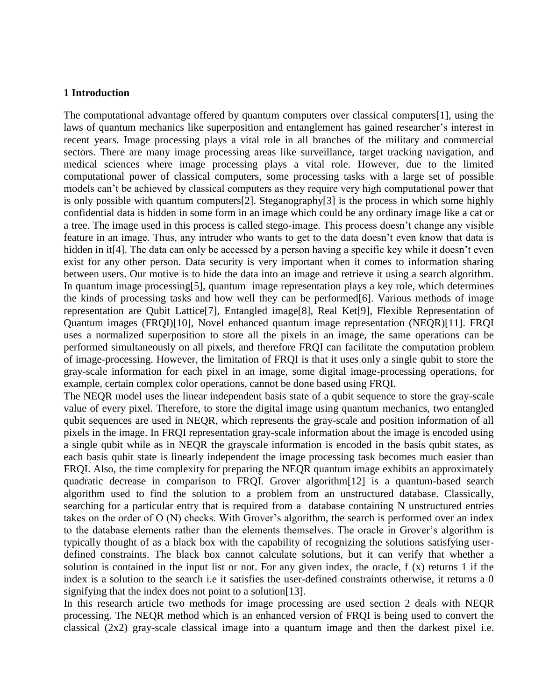#### **1 Introduction**

The computational advantage offered by quantum computers over classical computers[1], using the laws of quantum mechanics like superposition and entanglement has gained researcher's interest in recent years. Image processing plays a vital role in all branches of the military and commercial sectors. There are many image processing areas like surveillance, target tracking navigation, and medical sciences where image processing plays a vital role. However, due to the limited computational power of classical computers, some processing tasks with a large set of possible models can't be achieved by classical computers as they require very high computational power that is only possible with quantum computers[2]. Steganography[3] is the process in which some highly confidential data is hidden in some form in an image which could be any ordinary image like a cat or a tree. The image used in this process is called stego-image. This process doesn't change any visible feature in an image. Thus, any intruder who wants to get to the data doesn't even know that data is hidden in it<sup>[4]</sup>. The data can only be accessed by a person having a specific key while it doesn't even exist for any other person. Data security is very important when it comes to information sharing between users. Our motive is to hide the data into an image and retrieve it using a search algorithm. In quantum image processing[5], quantum image representation plays a key role, which determines the kinds of processing tasks and how well they can be performed[6]. Various methods of image representation are Qubit Lattice[7], Entangled image[8], Real Ket[9], Flexible Representation of Quantum images (FRQI)[10], Novel enhanced quantum image representation (NEQR)[11]. FRQI uses a normalized superposition to store all the pixels in an image, the same operations can be performed simultaneously on all pixels, and therefore FRQI can facilitate the computation problem of image-processing. However, the limitation of FRQI is that it uses only a single qubit to store the gray-scale information for each pixel in an image, some digital image-processing operations, for example, certain complex color operations, cannot be done based using FRQI.

The NEQR model uses the linear independent basis state of a qubit sequence to store the gray-scale value of every pixel. Therefore, to store the digital image using quantum mechanics, two entangled qubit sequences are used in NEQR, which represents the gray-scale and position information of all pixels in the image. In FRQI representation gray-scale information about the image is encoded using a single qubit while as in NEQR the grayscale information is encoded in the basis qubit states, as each basis qubit state is linearly independent the image processing task becomes much easier than FRQI. Also, the time complexity for preparing the NEQR quantum image exhibits an approximately quadratic decrease in comparison to FRQI. Grover algorithm[12] is a quantum-based search algorithm used to find the solution to a problem from an unstructured database. Classically, searching for a particular entry that is required from a database containing N unstructured entries takes on the order of O (N) checks. With Grover's algorithm, the search is performed over an index to the database elements rather than the elements themselves. The oracle in Grover's algorithm is typically thought of as a black box with the capability of recognizing the solutions satisfying userdefined constraints. The black box cannot calculate solutions, but it can verify that whether a solution is contained in the input list or not. For any given index, the oracle, f (x) returns 1 if the index is a solution to the search i.e it satisfies the user-defined constraints otherwise, it returns a 0 signifying that the index does not point to a solution [13].

In this research article two methods for image processing are used section 2 deals with NEQR processing. The NEQR method which is an enhanced version of FRQI is being used to convert the classical (2x2) gray-scale classical image into a quantum image and then the darkest pixel i.e.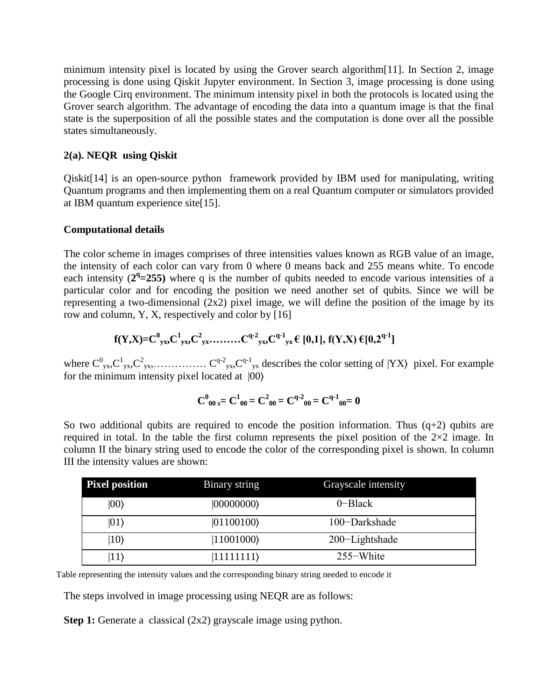minimum intensity pixel is located by using the Grover search algorithm[11]. In Section 2, image processing is done using Qiskit Jupyter environment. In Section 3, image processing is done using the Google Cirq environment. The minimum intensity pixel in both the protocols is located using the Grover search algorithm. The advantage of encoding the data into a quantum image is that the final state is the superposition of all the possible states and the computation is done over all the possible states simultaneously.

### **2(a). NEQR using Qiskit**

Qiskit[14] is an open-source python framework provided by IBM used for manipulating, writing Quantum programs and then implementing them on a real Quantum computer or simulators provided at IBM quantum experience site[15].

### **Computational details**

The color scheme in images comprises of three intensities values known as RGB value of an image, the intensity of each color can vary from 0 where 0 means back and 255 means white. To encode each intensity  $(2^q=255)$  where q is the number of qubits needed to encode various intensities of a particular color and for encoding the position we need another set of qubits. Since we will be representing a two-dimensional  $(2x2)$  pixel image, we will define the position of the image by its row and column, Y, X, respectively and color by [16]

$$
f(Y,X)=C^{0}_{yx},C^{1}_{yx},C^{2}_{yx},\ldots,C^{q-2}_{yx},C^{q-1}_{yx}\in[0,1], f(Y,X)\in[0,2^{q-1}]
$$

where C<sup>0</sup> yx,C<sup>1</sup> yx,C<sup>2</sup> yx,…………… C q-2 yx,Cq-1 yx describes the color setting of |YX⟩ pixel. For example for the minimum intensity pixel located at |00⟩

$$
C^0_{\phantom{0}00\,s} = C^1_{\phantom{0}00} = C^2_{\phantom{0}00} = C^{q\text{-}2}_{\phantom{q\,00}00} = C^{q\text{-}1}_{\phantom{q\,00}00} = 0
$$

So two additional qubits are required to encode the position information. Thus  $(q+2)$  qubits are required in total. In the table the first column represents the pixel position of the  $2\times2$  image. In column II the binary string used to encode the color of the corresponding pixel is shown. In column III the intensity values are shown:

| <b>Pixel position</b> | Binary string      | Grayscale intensity |  |
|-----------------------|--------------------|---------------------|--|
| $ 00\rangle$          | $ 00000000\rangle$ | $0$ -Black          |  |
| $ 01\rangle$          | $ 01100100\rangle$ | 100-Darkshade       |  |
| $ 10\rangle$          | $ 11001000\rangle$ | 200-Lightshade      |  |
| 11)                   | 11111111)          | $255-White$         |  |

Table representing the intensity values and the corresponding binary string needed to encode it

The steps involved in image processing using NEQR are as follows:

**Step 1:** Generate a classical (2x2) grayscale image using python.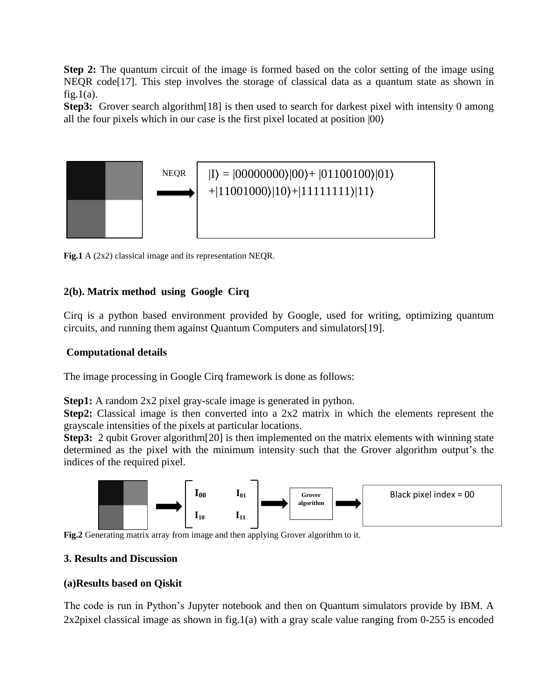**Step 2:** The quantum circuit of the image is formed based on the color setting of the image using NEQR code<sup>[17]</sup>. This step involves the storage of classical data as a quantum state as shown in  $fig.1(a)$ .

**Step3:** Grover search algorithm[18] is then used to search for darkest pixel with intensity 0 among all the four pixels which in our case is the first pixel located at position |00⟩



**Fig.1** A (2x2) classical image and its representation NEQR.

## **2(b). Matrix method using Google Cirq**

Cirq is a python based environment provided by Google, used for writing, optimizing quantum circuits, and running them against Quantum Computers and simulators[19].

## **Computational details**

The image processing in Google Cirq framework is done as follows:

**Step1:** A random 2x2 pixel gray-scale image is generated in python.

**Step2:** Classical image is then converted into a 2x2 matrix in which the elements represent the grayscale intensities of the pixels at particular locations.

**Step3:** 2 qubit Grover algorithm<sup>[20]</sup> is then implemented on the matrix elements with winning state determined as the pixel with the minimum intensity such that the Grover algorithm output's the indices of the required pixel.



**Fig.2** Generating matrix array from image and then applying Grover algorithm to it.

## **3. Results and Discussion**

#### **(a)Results based on Qiskit**

The code is run in Python's Jupyter notebook and then on Quantum simulators provide by IBM. A 2x2pixel classical image as shown in fig.1(a) with a gray scale value ranging from 0-255 is encoded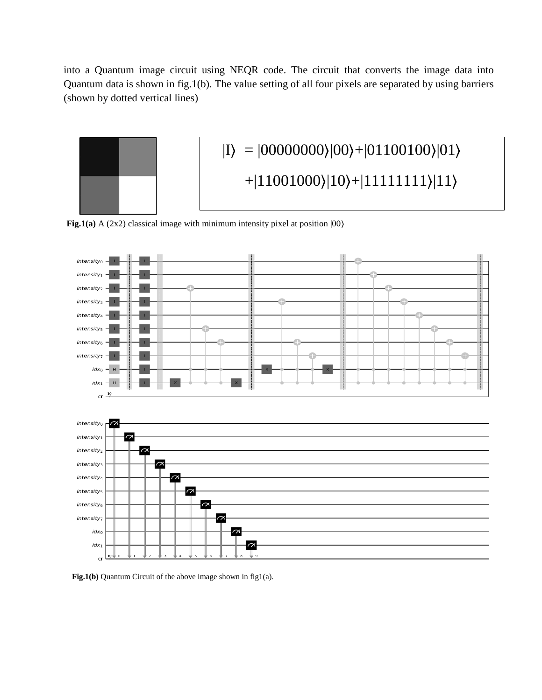into a Quantum image circuit using NEQR code. The circuit that converts the image data into Quantum data is shown in fig.1(b). The value setting of all four pixels are separated by using barriers (shown by dotted vertical lines)



**Fig.1(a)** A (2x2) classical image with minimum intensity pixel at position |00⟩



 **Fig.1(b)** Quantum Circuit of the above image shown in fig1(a).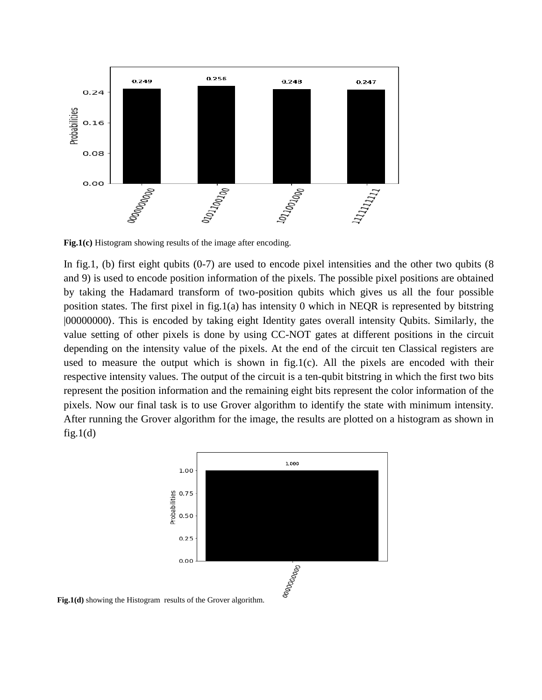

**Fig.1(c)** Histogram showing results of the image after encoding.

In fig.1, (b) first eight qubits  $(0-7)$  are used to encode pixel intensities and the other two qubits  $(8$ and 9) is used to encode position information of the pixels. The possible pixel positions are obtained by taking the Hadamard transform of two-position qubits which gives us all the four possible position states. The first pixel in fig.1(a) has intensity 0 which in NEQR is represented by bitstring |00000000⟩. This is encoded by taking eight Identity gates overall intensity Qubits. Similarly, the value setting of other pixels is done by using CC-NOT gates at different positions in the circuit depending on the intensity value of the pixels. At the end of the circuit ten Classical registers are used to measure the output which is shown in fig.1(c). All the pixels are encoded with their respective intensity values. The output of the circuit is a ten-qubit bitstring in which the first two bits represent the position information and the remaining eight bits represent the color information of the pixels. Now our final task is to use Grover algorithm to identify the state with minimum intensity. After running the Grover algorithm for the image, the results are plotted on a histogram as shown in  $fig.1(d)$ 



**Fig.1(d)** showing the Histogram results of the Grover algorithm.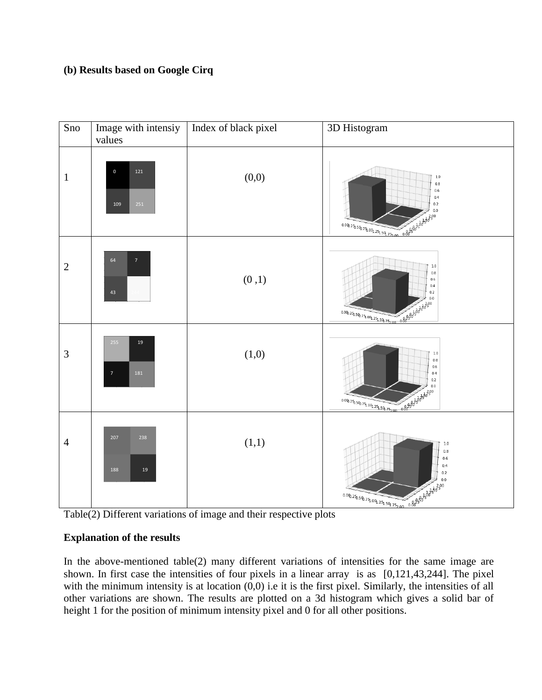## **(b) Results based on Google Cirq**



Table(2) Different variations of image and their respective plots

# **Explanation of the results**

In the above-mentioned table(2) many different variations of intensities for the same image are shown. In first case the intensities of four pixels in a linear array is as [0,121,43,244]. The pixel with the minimum intensity is at location  $(0,0)$  i.e it is the first pixel. Similarly, the intensities of all other variations are shown. The results are plotted on a 3d histogram which gives a solid bar of height 1 for the position of minimum intensity pixel and 0 for all other positions.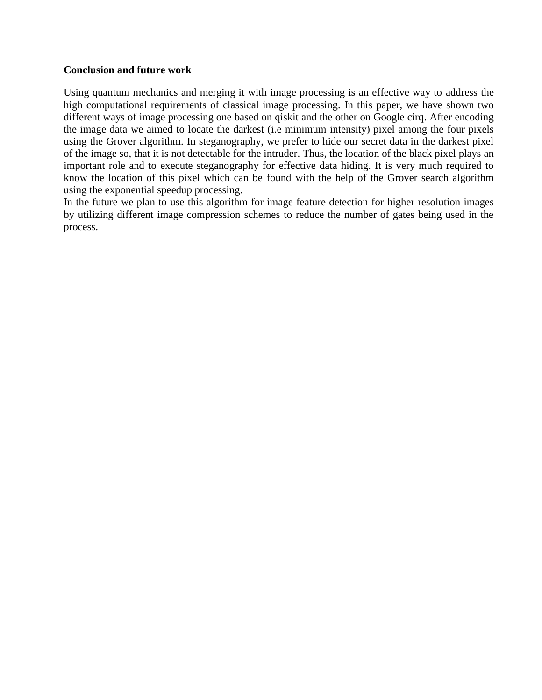#### **Conclusion and future work**

Using quantum mechanics and merging it with image processing is an effective way to address the high computational requirements of classical image processing. In this paper, we have shown two different ways of image processing one based on qiskit and the other on Google cirq. After encoding the image data we aimed to locate the darkest (i.e minimum intensity) pixel among the four pixels using the Grover algorithm. In steganography, we prefer to hide our secret data in the darkest pixel of the image so, that it is not detectable for the intruder. Thus, the location of the black pixel plays an important role and to execute steganography for effective data hiding. It is very much required to know the location of this pixel which can be found with the help of the Grover search algorithm using the exponential speedup processing.

In the future we plan to use this algorithm for image feature detection for higher resolution images by utilizing different image compression schemes to reduce the number of gates being used in the process.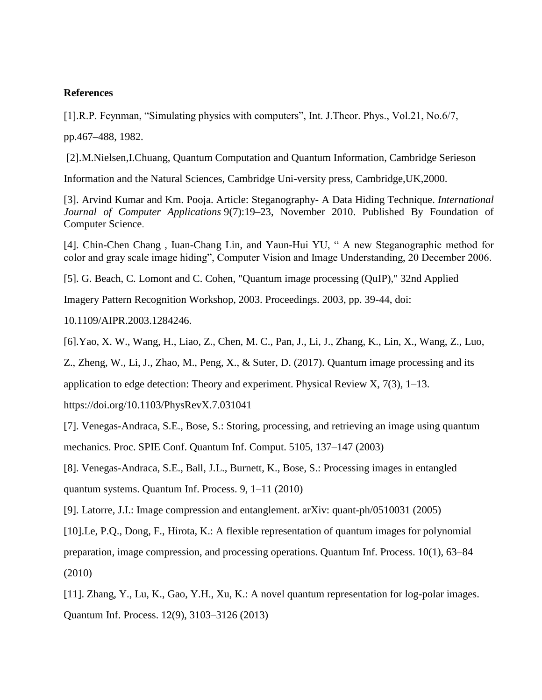#### **References**

[1].R.P. Feynman, "Simulating physics with computers", Int. J.Theor. Phys., Vol.21, No.6/7,

pp.467–488, 1982.

[2].M.Nielsen,I.Chuang, Quantum Computation and Quantum Information, Cambridge Serieson

Information and the Natural Sciences, Cambridge Uni-versity press, Cambridge,UK,2000.

[3]. Arvind Kumar and Km. Pooja. Article: Steganography- A Data Hiding Technique. *International Journal of Computer Applications* 9(7):19–23, November 2010. Published By Foundation of Computer Science.

[4]. Chin-Chen Chang , Iuan-Chang Lin, and Yaun-Hui YU, " A new Steganographic method for color and gray scale image hiding", Computer Vision and Image Understanding, 20 December 2006.

[5]. G. Beach, C. Lomont and C. Cohen, "Quantum image processing (QuIP)," 32nd Applied

Imagery Pattern Recognition Workshop, 2003. Proceedings. 2003, pp. 39-44, doi:

10.1109/AIPR.2003.1284246.

[6].Yao, X. W., Wang, H., Liao, Z., Chen, M. C., Pan, J., Li, J., Zhang, K., Lin, X., Wang, Z., Luo,

Z., Zheng, W., Li, J., Zhao, M., Peng, X., & Suter, D. (2017). Quantum image processing and its

application to edge detection: Theory and experiment. Physical Review X,  $7(3)$ , 1–13.

https://doi.org/10.1103/PhysRevX.7.031041

[7]. Venegas-Andraca, S.E., Bose, S.: Storing, processing, and retrieving an image using quantum mechanics. Proc. SPIE Conf. Quantum Inf. Comput. 5105, 137–147 (2003)

[8]. Venegas-Andraca, S.E., Ball, J.L., Burnett, K., Bose, S.: Processing images in entangled quantum systems. Quantum Inf. Process. 9, 1–11 (2010)

[9]. Latorre, J.I.: Image compression and entanglement. arXiv: quant-ph/0510031 (2005)

[10].Le, P.Q., Dong, F., Hirota, K.: A flexible representation of quantum images for polynomial preparation, image compression, and processing operations. Quantum Inf. Process. 10(1), 63–84 (2010)

[11]. Zhang, Y., Lu, K., Gao, Y.H., Xu, K.: A novel quantum representation for log-polar images. Quantum Inf. Process. 12(9), 3103–3126 (2013)